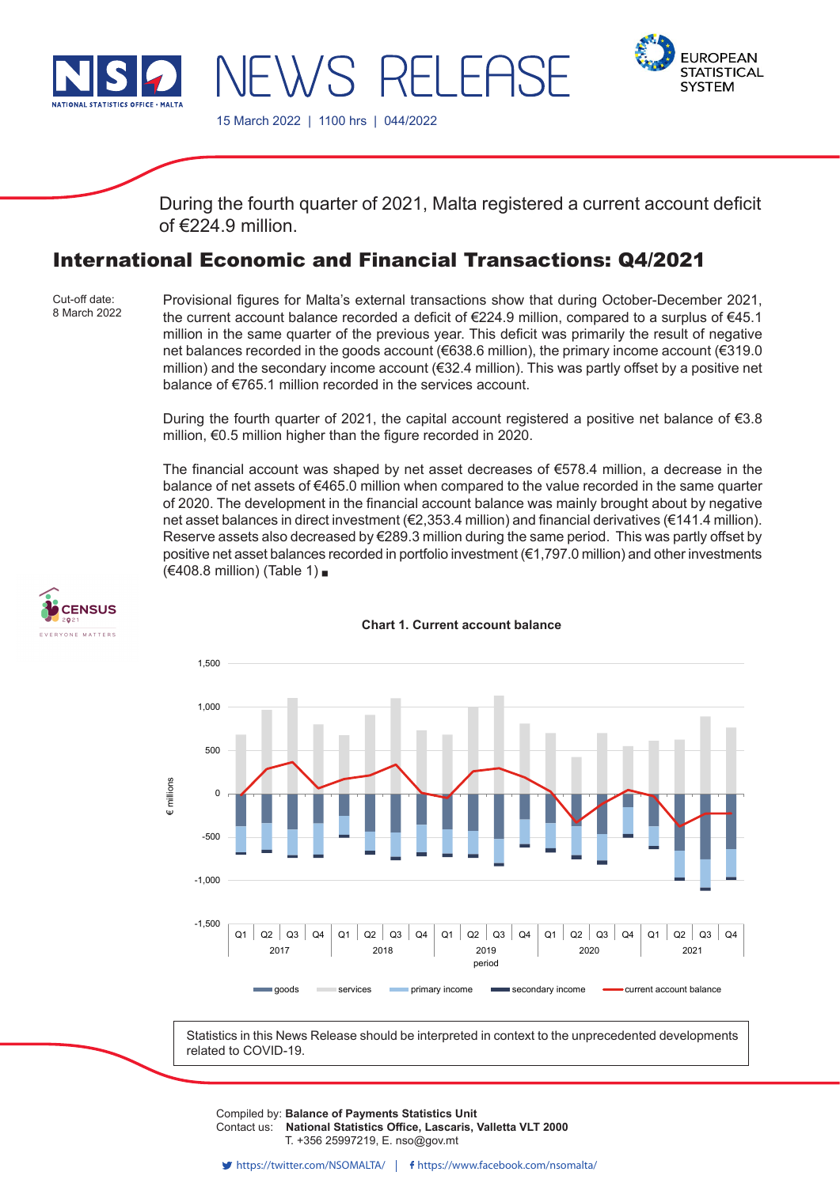

VS REI FAS



15 March 2022 | 1100 hrs | 044/2022

During the fourth quarter of 2021, Malta registered a current account deficit of  $\epsilon$ 224.9 million

# International Economic and Financial Transactions: Q4/2021

Cut-off date: 8 March 2022 Provisional figures for Malta's external transactions show that during October-December 2021, the current account balance recorded a deficit of €224.9 million, compared to a surplus of €45.1 million in the same quarter of the previous year. This deficit was primarily the result of negative net balances recorded in the goods account (€638.6 million), the primary income account (€319.0 million) and the secondary income account ( $\epsilon$ 32.4 million). This was partly offset by a positive net balance of €765.1 million recorded in the services account.

During the fourth quarter of 2021, the capital account registered a positive net balance of €3.8 million, €0.5 million higher than the figure recorded in 2020.

The financial account was shaped by net asset decreases of  $$578.4$  million, a decrease in the balance of net assets of  $\epsilon$ 465.0 million when compared to the value recorded in the same quarter of 2020. The development in the financial account balance was mainly brought about by negative net asset balances in direct investment (€2,353.4 million) and financial derivatives (€141.4 million). Reserve assets also decreased by €289.3 million during the same period. This was partly offset by positive net asset balances recorded in portfolio investment (€1,797.0 million) and other investments (€408.8 million) (Table 1)





**Chart 1. Current account balance**

Statistics in this News Release should be interpreted in context to the unprecedented developments related to COVID-19.

Compiled by: Balance of Payments Statistics Unit Contact us: National Statistics Office, Lascaris, Valletta VLT 2000 Issued by: **Dissemination Unit, National Statistics Office, Lascaris, Valletta VLT 2000, Malta.** T. +356 25997219, E. nso@gov.mt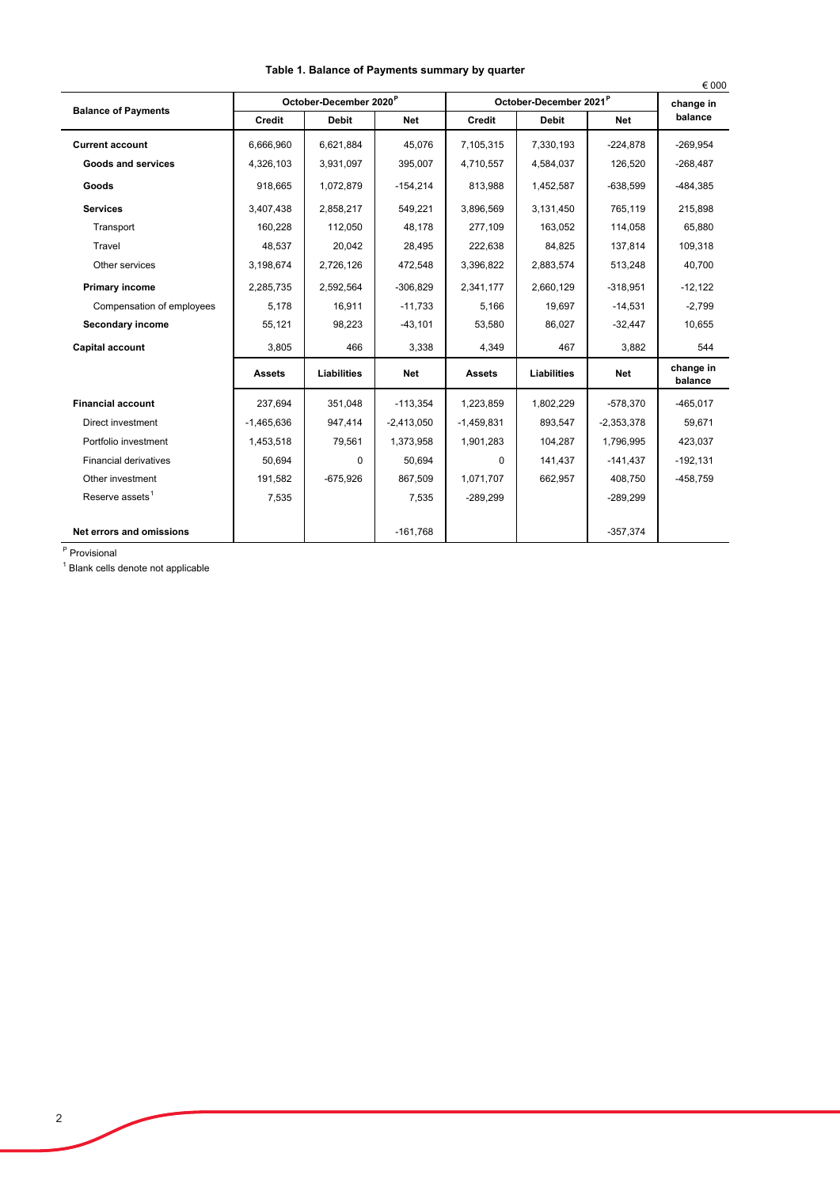|                              |                                    |              |              |                                    |              |              | € 000                |
|------------------------------|------------------------------------|--------------|--------------|------------------------------------|--------------|--------------|----------------------|
| <b>Balance of Payments</b>   | October-December 2020 <sup>P</sup> |              |              | October-December 2021 <sup>P</sup> |              |              | change in            |
|                              | <b>Credit</b>                      | <b>Debit</b> | <b>Net</b>   | <b>Credit</b>                      | <b>Debit</b> | <b>Net</b>   | balance              |
| <b>Current account</b>       | 6.666.960                          | 6,621,884    | 45,076       | 7,105,315                          | 7,330,193    | $-224,878$   | $-269.954$           |
| <b>Goods and services</b>    | 4,326,103                          | 3,931,097    | 395,007      | 4,710,557                          | 4,584,037    | 126,520      | $-268,487$           |
| Goods                        | 918,665                            | 1,072,879    | $-154,214$   | 813,988                            | 1,452,587    | $-638,599$   | -484,385             |
| <b>Services</b>              | 3.407.438                          | 2,858,217    | 549.221      | 3.896.569                          | 3.131.450    | 765,119      | 215,898              |
| Transport                    | 160,228                            | 112,050      | 48,178       | 277,109                            | 163,052      | 114,058      | 65,880               |
| Travel                       | 48,537                             | 20.042       | 28,495       | 222.638                            | 84.825       | 137.814      | 109,318              |
| Other services               | 3,198,674                          | 2,726,126    | 472,548      | 3,396,822                          | 2,883,574    | 513,248      | 40,700               |
| <b>Primary income</b>        | 2,285,735                          | 2,592,564    | $-306,829$   | 2,341,177                          | 2,660,129    | $-318,951$   | $-12,122$            |
| Compensation of employees    | 5,178                              | 16,911       | $-11,733$    | 5,166                              | 19,697       | $-14,531$    | $-2,799$             |
| Secondary income             | 55,121                             | 98,223       | $-43,101$    | 53,580                             | 86,027       | $-32,447$    | 10,655               |
| Capital account              | 3,805                              | 466          | 3,338        | 4,349                              | 467          | 3,882        | 544                  |
|                              | <b>Assets</b>                      | Liabilities  | Net          | <b>Assets</b>                      | Liabilities  | <b>Net</b>   | change in<br>balance |
| <b>Financial account</b>     | 237.694                            | 351.048      | $-113.354$   | 1,223,859                          | 1,802,229    | $-578.370$   | $-465.017$           |
| Direct investment            | $-1,465,636$                       | 947,414      | $-2,413,050$ | $-1,459,831$                       | 893,547      | $-2,353,378$ | 59,671               |
| Portfolio investment         | 1,453,518                          | 79,561       | 1,373,958    | 1,901,283                          | 104.287      | 1.796.995    | 423.037              |
| <b>Financial derivatives</b> | 50,694                             | $\Omega$     | 50,694       | $\Omega$                           | 141,437      | $-141,437$   | $-192,131$           |
| Other investment             | 191.582                            | $-675.926$   | 867.509      | 1.071.707                          | 662.957      | 408.750      | -458.759             |
| Reserve assets <sup>1</sup>  | 7,535                              |              | 7,535        | $-289,299$                         |              | $-289,299$   |                      |
| Net errors and omissions     |                                    |              | $-161,768$   |                                    |              | $-357,374$   |                      |

## **Table 1. Balance of Payments summary by quarter**

<sup>P</sup> Provisional

<sup>1</sup> Blank cells denote not applicable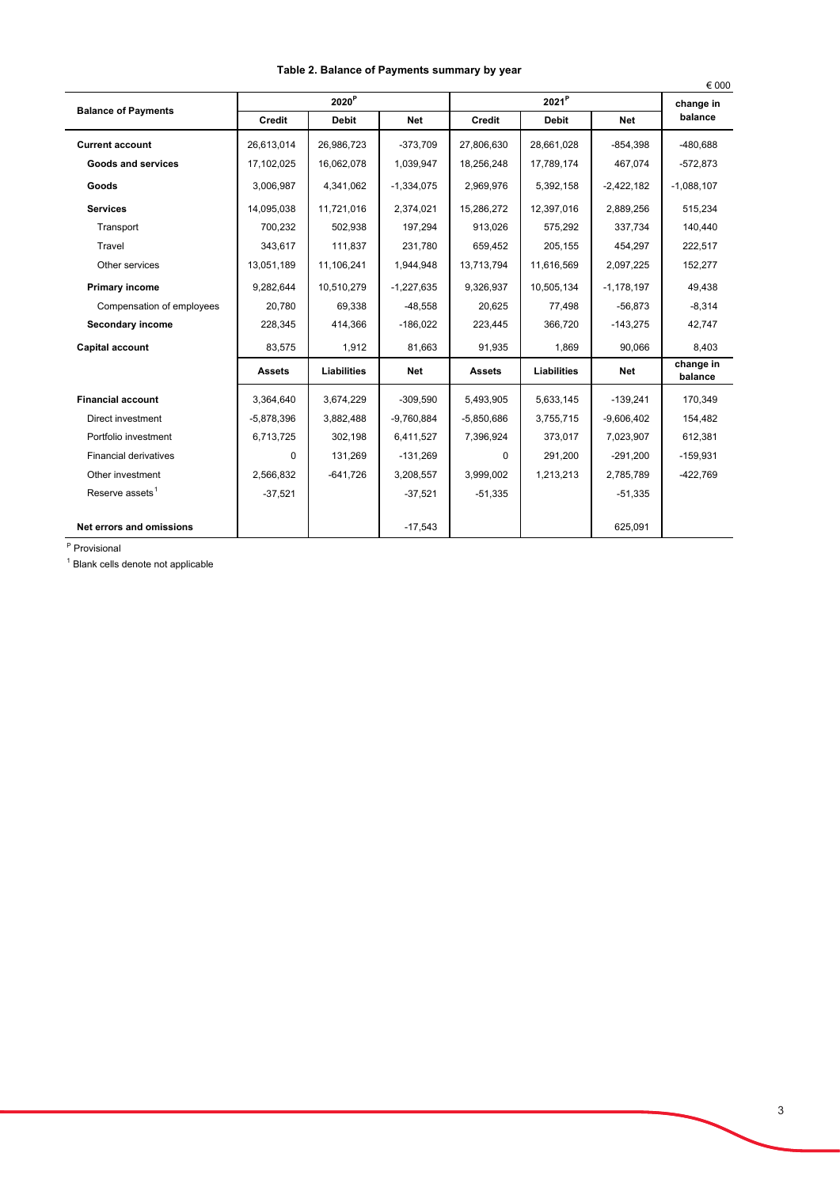|                              |                      |              |              |                |              |              | € 000                |
|------------------------------|----------------------|--------------|--------------|----------------|--------------|--------------|----------------------|
| <b>Balance of Payments</b>   | ${\bf 2020}^{\sf P}$ |              |              | $2021^{\sf P}$ |              |              | change in            |
|                              | Credit               | <b>Debit</b> | Net          | Credit         | <b>Debit</b> | <b>Net</b>   | balance              |
| <b>Current account</b>       | 26,613,014           | 26,986,723   | $-373,709$   | 27,806,630     | 28,661,028   | $-854,398$   | -480,688             |
| Goods and services           | 17,102,025           | 16,062,078   | 1,039,947    | 18,256,248     | 17,789,174   | 467,074      | $-572,873$           |
| Goods                        | 3,006,987            | 4,341,062    | $-1,334,075$ | 2,969,976      | 5,392,158    | $-2,422,182$ | $-1,088,107$         |
| <b>Services</b>              | 14,095,038           | 11,721,016   | 2,374,021    | 15,286,272     | 12,397,016   | 2,889,256    | 515,234              |
| Transport                    | 700,232              | 502,938      | 197,294      | 913,026        | 575,292      | 337,734      | 140,440              |
| Travel                       | 343,617              | 111,837      | 231,780      | 659,452        | 205,155      | 454,297      | 222,517              |
| Other services               | 13,051,189           | 11,106,241   | 1,944,948    | 13,713,794     | 11,616,569   | 2,097,225    | 152,277              |
| <b>Primary income</b>        | 9,282,644            | 10,510,279   | $-1,227,635$ | 9,326,937      | 10,505,134   | $-1,178,197$ | 49,438               |
| Compensation of employees    | 20,780               | 69,338       | $-48,558$    | 20,625         | 77,498       | $-56,873$    | $-8,314$             |
| Secondary income             | 228,345              | 414,366      | $-186,022$   | 223,445        | 366,720      | $-143,275$   | 42,747               |
| Capital account              | 83,575               | 1,912        | 81,663       | 91,935         | 1,869        | 90,066       | 8,403                |
|                              | <b>Assets</b>        | Liabilities  | <b>Net</b>   | <b>Assets</b>  | Liabilities  | <b>Net</b>   | change in<br>balance |
| <b>Financial account</b>     | 3,364,640            | 3,674,229    | $-309,590$   | 5,493,905      | 5,633,145    | $-139,241$   | 170,349              |
| Direct investment            | $-5,878,396$         | 3,882,488    | $-9,760,884$ | $-5,850,686$   | 3,755,715    | $-9,606,402$ | 154,482              |
| Portfolio investment         | 6,713,725            | 302,198      | 6,411,527    | 7,396,924      | 373,017      | 7,023,907    | 612,381              |
| <b>Financial derivatives</b> | $\Omega$             | 131,269      | $-131,269$   | $\Omega$       | 291,200      | $-291,200$   | $-159,931$           |
| Other investment             | 2,566,832            | $-641,726$   | 3,208,557    | 3,999,002      | 1,213,213    | 2,785,789    | $-422,769$           |
| Reserve assets <sup>1</sup>  | $-37,521$            |              | $-37,521$    | $-51,335$      |              | $-51,335$    |                      |
| Net errors and omissions     |                      |              | $-17,543$    |                |              | 625,091      |                      |

## **Table 2. Balance of Payments summary by year**

<sup>P</sup> Provisional

<sup>1</sup> Blank cells denote not applicable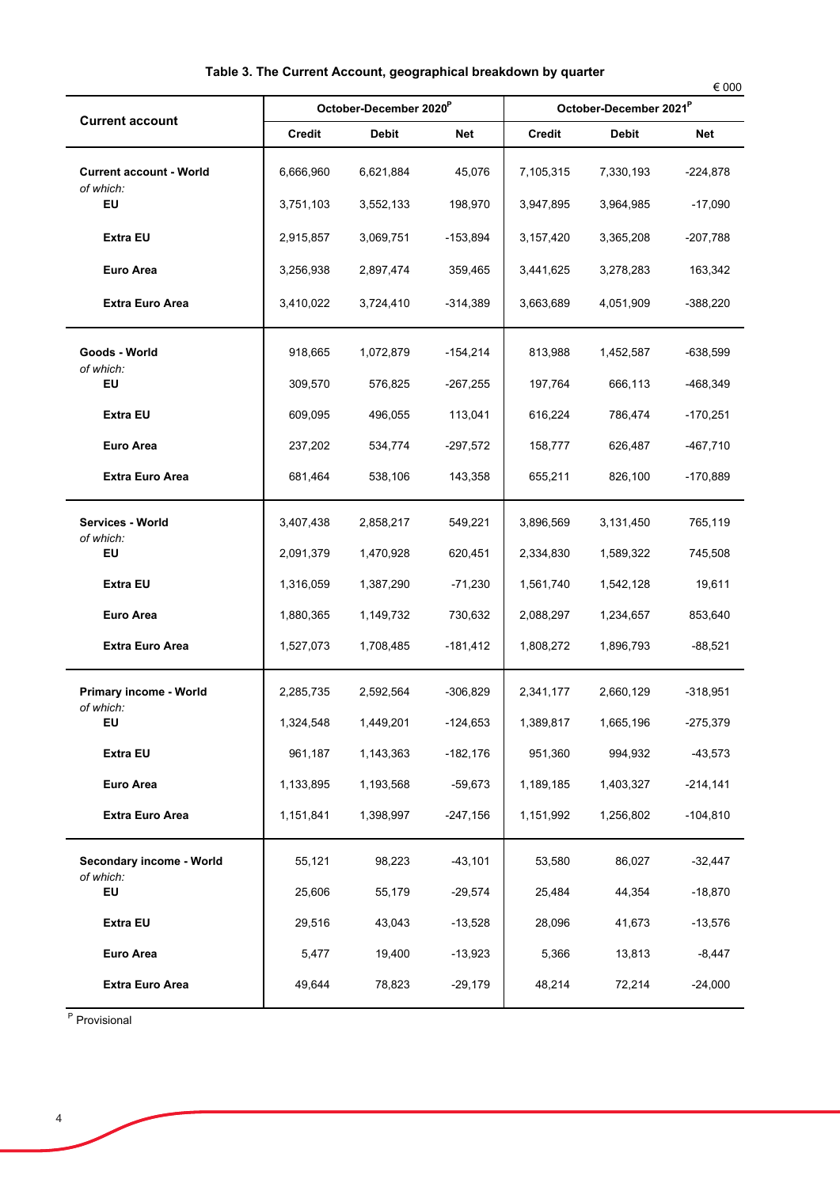| <b>Current account</b>                      |           | October-December 2020 <sup>P</sup> |            | October-December 2021 <sup>P</sup> |              |            |  |
|---------------------------------------------|-----------|------------------------------------|------------|------------------------------------|--------------|------------|--|
|                                             | Credit    | <b>Debit</b>                       | Net        | <b>Credit</b>                      | <b>Debit</b> | Net        |  |
| <b>Current account - World</b><br>of which: | 6,666,960 | 6,621,884                          | 45,076     | 7,105,315                          | 7,330,193    | $-224,878$ |  |
| EU                                          | 3,751,103 | 3,552,133                          | 198,970    | 3,947,895                          | 3,964,985    | -17,090    |  |
| <b>Extra EU</b>                             | 2,915,857 | 3,069,751                          | $-153,894$ | 3,157,420                          | 3,365,208    | $-207,788$ |  |
| <b>Euro Area</b>                            | 3,256,938 | 2,897,474                          | 359,465    | 3,441,625                          | 3,278,283    | 163,342    |  |
| <b>Extra Euro Area</b>                      | 3,410,022 | 3,724,410                          | $-314,389$ | 3,663,689                          | 4,051,909    | $-388,220$ |  |
| Goods - World<br>of which:                  | 918,665   | 1,072,879                          | -154,214   | 813,988                            | 1,452,587    | $-638,599$ |  |
| EU                                          | 309,570   | 576,825                            | $-267,255$ | 197,764                            | 666,113      | -468,349   |  |
| <b>Extra EU</b>                             | 609,095   | 496,055                            | 113,041    | 616,224                            | 786,474      | $-170,251$ |  |
| <b>Euro Area</b>                            | 237,202   | 534,774                            | $-297,572$ | 158,777                            | 626,487      | -467,710   |  |
| <b>Extra Euro Area</b>                      | 681,464   | 538,106                            | 143,358    | 655,211                            | 826,100      | $-170,889$ |  |
| Services - World<br>of which:               | 3,407,438 | 2,858,217                          | 549,221    | 3,896,569                          | 3,131,450    | 765,119    |  |
| EU                                          | 2,091,379 | 1,470,928                          | 620,451    | 2,334,830                          | 1,589,322    | 745,508    |  |
| <b>Extra EU</b>                             | 1,316,059 | 1,387,290                          | $-71,230$  | 1,561,740                          | 1,542,128    | 19,611     |  |
| Euro Area                                   | 1,880,365 | 1,149,732                          | 730,632    | 2,088,297                          | 1,234,657    | 853,640    |  |
| <b>Extra Euro Area</b>                      | 1,527,073 | 1,708,485                          | $-181,412$ | 1,808,272                          | 1,896,793    | $-88,521$  |  |
| Primary income - World<br>of which:         | 2,285,735 | 2,592,564                          | $-306,829$ | 2,341,177                          | 2,660,129    | $-318,951$ |  |
| EU                                          | 1,324,548 | 1,449,201                          | $-124,653$ | 1,389,817                          | 1,665,196    | $-275,379$ |  |
| <b>Extra EU</b>                             | 961,187   | 1,143,363                          | $-182,176$ | 951,360                            | 994,932      | $-43,573$  |  |
| <b>Euro Area</b>                            | 1,133,895 | 1,193,568                          | $-59,673$  | 1,189,185                          | 1,403,327    | $-214,141$ |  |
| <b>Extra Euro Area</b>                      | 1,151,841 | 1,398,997                          | $-247,156$ | 1,151,992                          | 1,256,802    | $-104,810$ |  |
| Secondary income - World<br>of which:<br>EU | 55,121    | 98,223                             | $-43,101$  | 53,580                             | 86,027       | $-32,447$  |  |
|                                             | 25,606    | 55,179                             | $-29,574$  | 25,484                             | 44,354       | $-18,870$  |  |
| <b>Extra EU</b>                             | 29,516    | 43,043                             | $-13,528$  | 28,096                             | 41,673       | $-13,576$  |  |
| <b>Euro Area</b>                            | 5,477     | 19,400                             | $-13,923$  | 5,366                              | 13,813       | $-8,447$   |  |
| <b>Extra Euro Area</b>                      | 49,644    | 78,823                             | $-29,179$  | 48,214                             | 72,214       | $-24,000$  |  |

<sup>P</sup> Provisional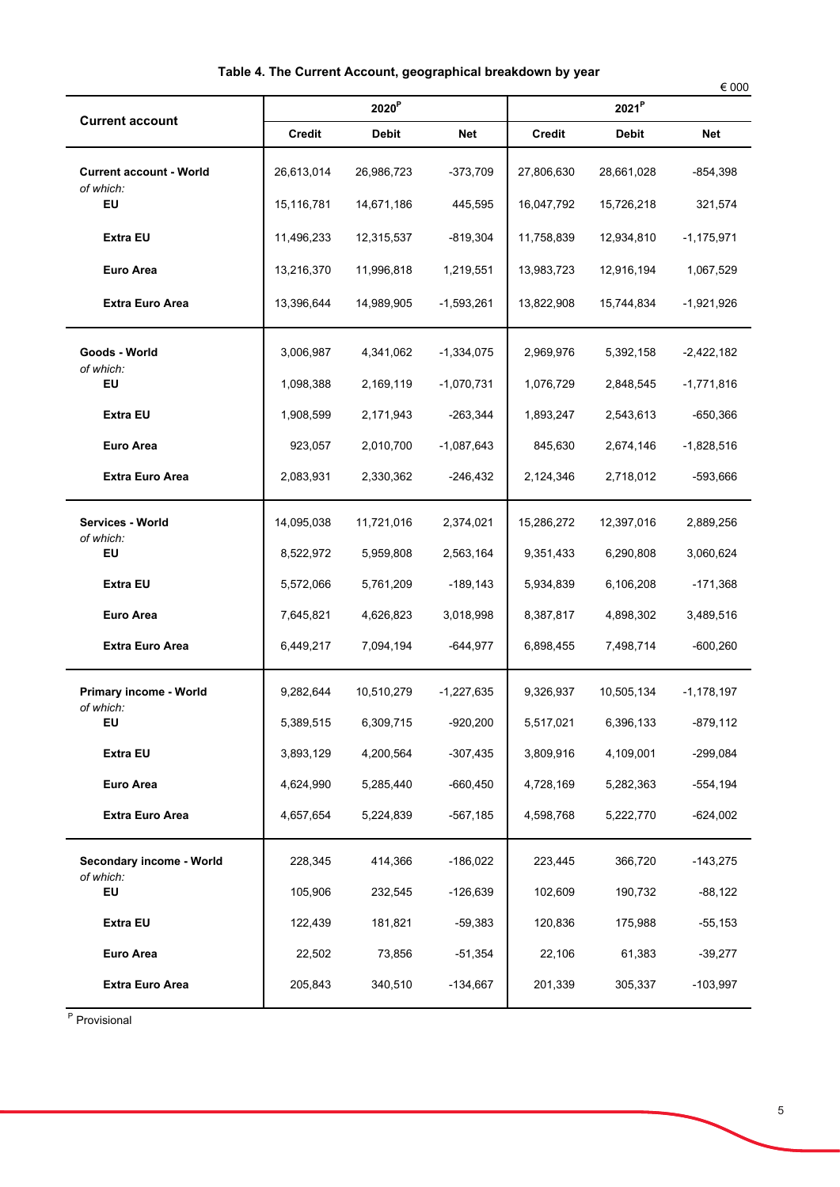| <b>Current account</b>                      |            | 2020 <sup>P</sup> |              | 2021 <sup>P</sup> |              |              |  |
|---------------------------------------------|------------|-------------------|--------------|-------------------|--------------|--------------|--|
|                                             | Credit     | <b>Debit</b>      | <b>Net</b>   | <b>Credit</b>     | <b>Debit</b> | <b>Net</b>   |  |
| <b>Current account - World</b><br>of which: | 26,613,014 | 26,986,723        | $-373,709$   | 27,806,630        | 28,661,028   | -854,398     |  |
| <b>EU</b>                                   | 15,116,781 | 14,671,186        | 445,595      | 16,047,792        | 15,726,218   | 321,574      |  |
| <b>Extra EU</b>                             | 11,496,233 | 12,315,537        | -819,304     | 11,758,839        | 12,934,810   | $-1,175,971$ |  |
| <b>Euro Area</b>                            | 13,216,370 | 11,996,818        | 1,219,551    | 13,983,723        | 12,916,194   | 1,067,529    |  |
| <b>Extra Euro Area</b>                      | 13,396,644 | 14,989,905        | $-1,593,261$ | 13,822,908        | 15,744,834   | $-1,921,926$ |  |
| Goods - World<br>of which:                  | 3,006,987  | 4,341,062         | $-1,334,075$ | 2,969,976         | 5,392,158    | $-2,422,182$ |  |
| <b>EU</b>                                   | 1,098,388  | 2,169,119         | $-1,070,731$ | 1,076,729         | 2,848,545    | $-1,771,816$ |  |
| <b>Extra EU</b>                             | 1,908,599  | 2,171,943         | $-263,344$   | 1,893,247         | 2,543,613    | $-650,366$   |  |
| <b>Euro Area</b>                            | 923,057    | 2,010,700         | $-1,087,643$ | 845,630           | 2,674,146    | $-1,828,516$ |  |
| <b>Extra Euro Area</b>                      | 2,083,931  | 2,330,362         | $-246,432$   | 2,124,346         | 2,718,012    | $-593,666$   |  |
| Services - World<br>of which:               | 14,095,038 | 11,721,016        | 2,374,021    | 15,286,272        | 12,397,016   | 2,889,256    |  |
| <b>EU</b>                                   | 8,522,972  | 5,959,808         | 2,563,164    | 9,351,433         | 6,290,808    | 3,060,624    |  |
| <b>Extra EU</b>                             | 5,572,066  | 5,761,209         | $-189, 143$  | 5,934,839         | 6,106,208    | $-171,368$   |  |
| <b>Euro Area</b>                            | 7,645,821  | 4,626,823         | 3,018,998    | 8,387,817         | 4,898,302    | 3,489,516    |  |
| <b>Extra Euro Area</b>                      | 6,449,217  | 7,094,194         | $-644,977$   | 6,898,455         | 7,498,714    | $-600,260$   |  |
| Primary income - World<br>of which:         | 9,282,644  | 10,510,279        | $-1,227,635$ | 9,326,937         | 10,505,134   | -1,178,197   |  |
| EU                                          | 5,389,515  | 6,309,715         | $-920,200$   | 5,517,021         | 6,396,133    | -879.112     |  |
| Extra EU                                    | 3,893,129  | 4,200,564         | $-307,435$   | 3,809,916         | 4,109,001    | $-299,084$   |  |
| Euro Area                                   | 4,624,990  | 5,285,440         | $-660,450$   | 4,728,169         | 5,282,363    | $-554, 194$  |  |
| <b>Extra Euro Area</b>                      | 4,657,654  | 5,224,839         | $-567,185$   | 4,598,768         | 5,222,770    | $-624,002$   |  |
| Secondary income - World<br>of which:<br>EU | 228,345    | 414,366           | $-186,022$   | 223,445           | 366,720      | $-143,275$   |  |
|                                             | 105,906    | 232,545           | $-126,639$   | 102,609           | 190,732      | $-88,122$    |  |
| <b>Extra EU</b>                             | 122,439    | 181,821           | $-59,383$    | 120,836           | 175,988      | $-55,153$    |  |
| Euro Area                                   | 22,502     | 73,856            | $-51,354$    | 22,106            | 61,383       | $-39,277$    |  |
| <b>Extra Euro Area</b>                      | 205,843    | 340,510           | $-134,667$   | 201,339           | 305,337      | $-103,997$   |  |

<sup>P</sup> Provisional